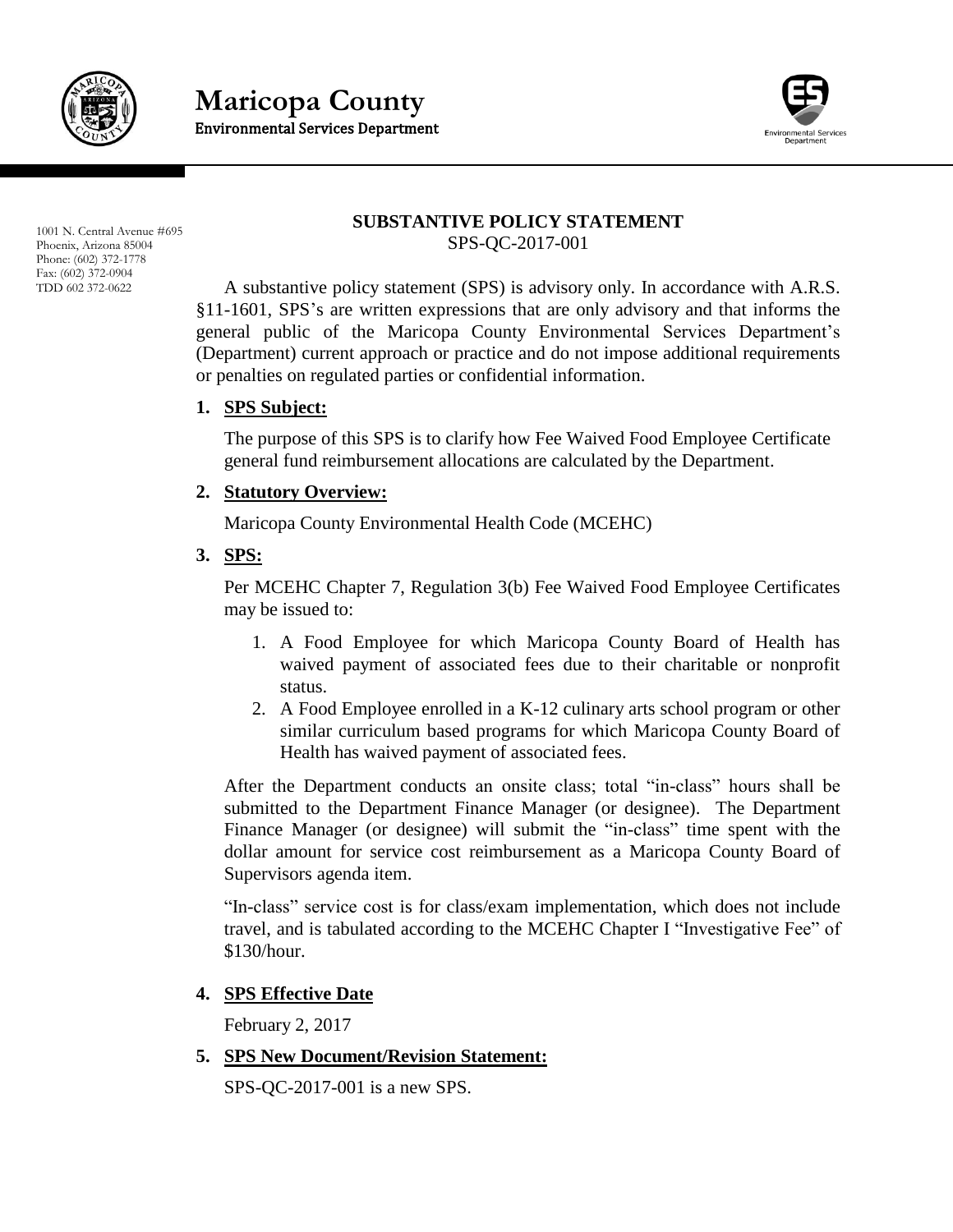

**Maricopa County** Environmental Services Department



1001 N. Central Avenue #695 Phoenix, Arizona 85004 Phone: (602) 372-1778 Fax: (602) 372-0904 TDD 602 372-0622

#### **SUBSTANTIVE POLICY STATEMENT** SPS-QC-2017-001

A substantive policy statement (SPS) is advisory only. In accordance with A.R.S. §11-1601, SPS's are written expressions that are only advisory and that informs the general public of the Maricopa County Environmental Services Department's (Department) current approach or practice and do not impose additional requirements or penalties on regulated parties or confidential information.

## **1. SPS Subject:**

The purpose of this SPS is to clarify how Fee Waived Food Employee Certificate general fund reimbursement allocations are calculated by the Department.

### **2. Statutory Overview:**

Maricopa County Environmental Health Code (MCEHC)

#### **3. SPS:**

Per MCEHC Chapter 7, Regulation 3(b) Fee Waived Food Employee Certificates may be issued to:

- 1. A Food Employee for which Maricopa County Board of Health has waived payment of associated fees due to their charitable or nonprofit status.
- 2. A Food Employee enrolled in a K-12 culinary arts school program or other similar curriculum based programs for which Maricopa County Board of Health has waived payment of associated fees.

After the Department conducts an onsite class; total "in-class" hours shall be submitted to the Department Finance Manager (or designee). The Department Finance Manager (or designee) will submit the "in-class" time spent with the dollar amount for service cost reimbursement as a Maricopa County Board of Supervisors agenda item.

"In-class" service cost is for class/exam implementation, which does not include travel, and is tabulated according to the MCEHC Chapter I "Investigative Fee" of \$130/hour.

## **4. SPS Effective Date**

February 2, 2017

**5. SPS New Document/Revision Statement:**

SPS-QC-2017-001 is a new SPS.